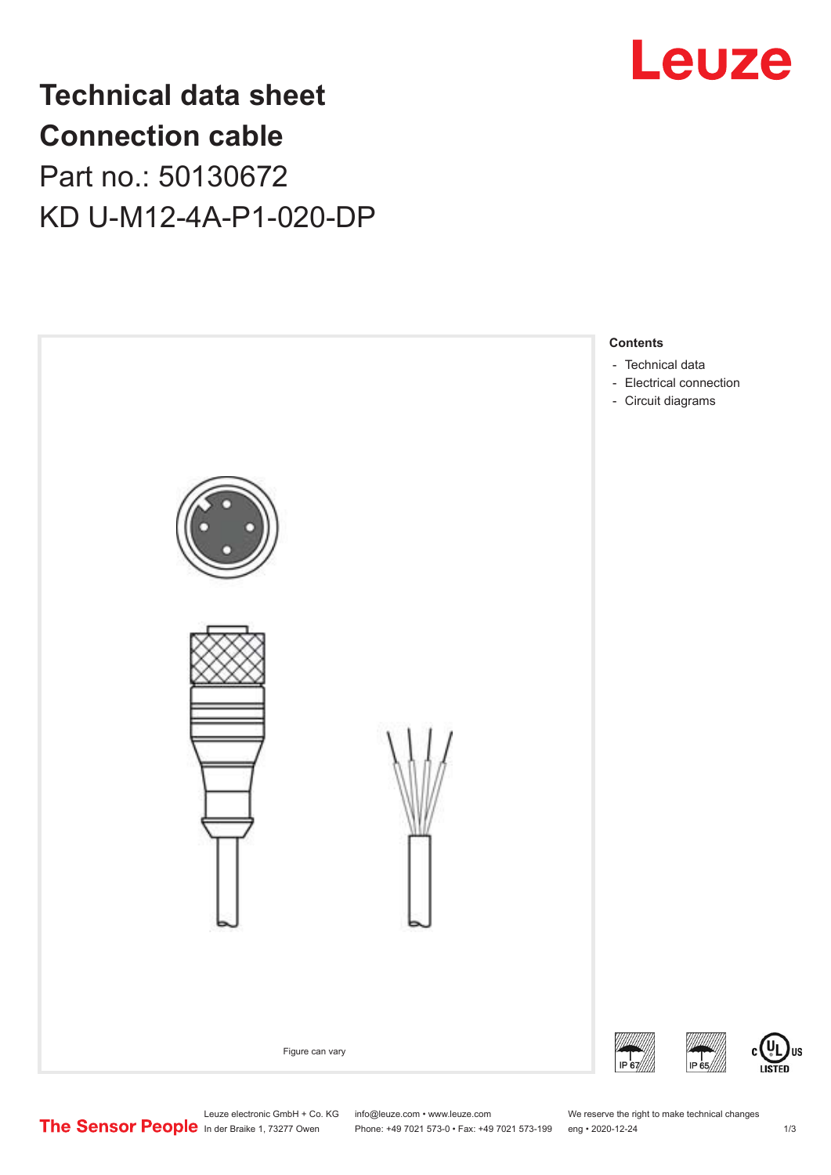

# **Technical data sheet Connection cable** Part no.: 50130672 KD U-M12-4A-P1-020-DP



Leuze electronic GmbH + Co. KG info@leuze.com • www.leuze.com We reserve the right to make technical changes<br> **The Sensor People** in der Braike 1, 73277 Owen Phone: +49 7021 573-0 • Fax: +49 7021 573-199 eng • 2020-12-24

Phone: +49 7021 573-0 • Fax: +49 7021 573-199 eng • 2020-12-24 1 2020-12-24

US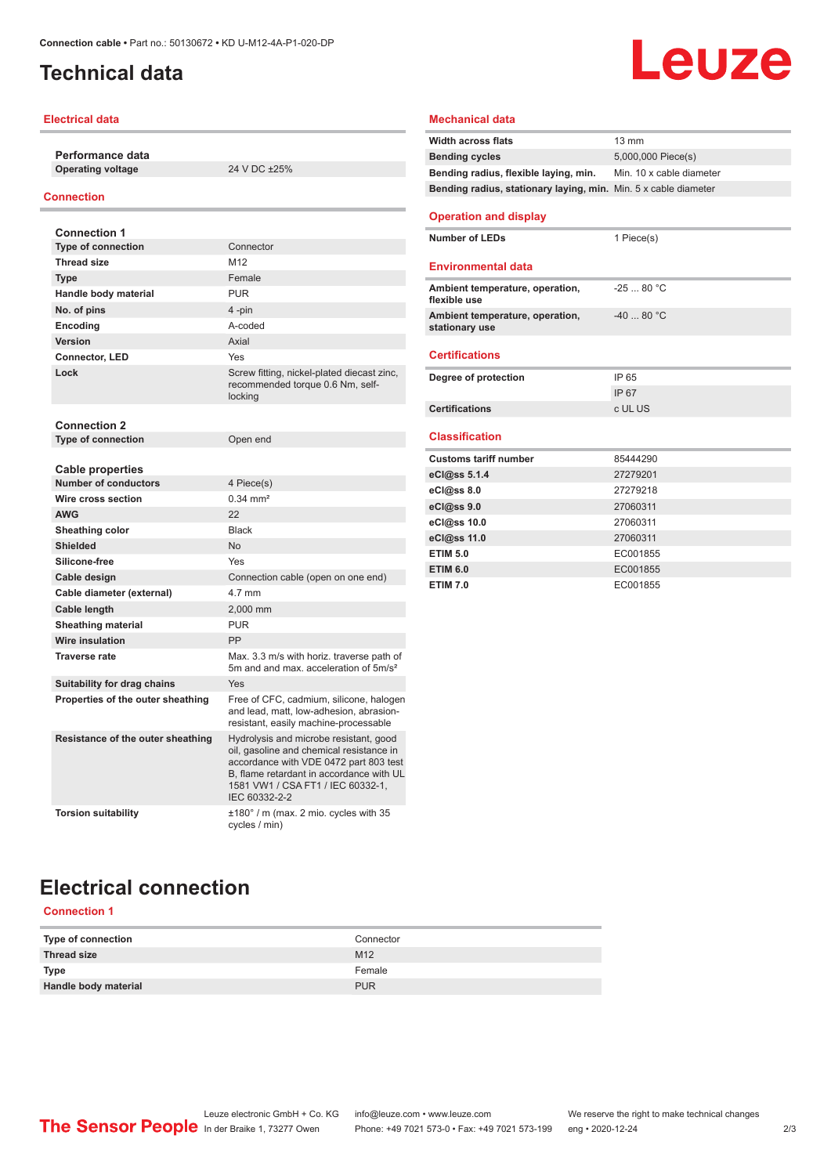# <span id="page-1-0"></span>**Technical data**

### **Electrical data**

**Performance data Operating voltage** 24 V DC ±25%

### **Connection**

| <b>Connection 1</b>                                    |                                                                                                                                                                                                                                |
|--------------------------------------------------------|--------------------------------------------------------------------------------------------------------------------------------------------------------------------------------------------------------------------------------|
| <b>Type of connection</b>                              | Connector                                                                                                                                                                                                                      |
| <b>Thread size</b>                                     | M12                                                                                                                                                                                                                            |
| <b>Type</b>                                            | Female                                                                                                                                                                                                                         |
| Handle body material                                   | <b>PUR</b>                                                                                                                                                                                                                     |
| No. of pins                                            | 4-pin                                                                                                                                                                                                                          |
| Encoding                                               | A-coded                                                                                                                                                                                                                        |
| Version                                                | Axial                                                                                                                                                                                                                          |
| Connector, LED                                         | Yes                                                                                                                                                                                                                            |
| Lock                                                   | Screw fitting, nickel-plated diecast zinc,<br>recommended torque 0.6 Nm, self-<br>locking                                                                                                                                      |
| <b>Connection 2</b>                                    |                                                                                                                                                                                                                                |
| <b>Type of connection</b>                              | Open end                                                                                                                                                                                                                       |
| <b>Cable properties</b><br><b>Number of conductors</b> | 4 Piece(s)                                                                                                                                                                                                                     |
| Wire cross section                                     | $0.34 \, \text{mm}^2$                                                                                                                                                                                                          |
| <b>AWG</b>                                             | 22                                                                                                                                                                                                                             |
| Sheathing color                                        | <b>Black</b>                                                                                                                                                                                                                   |
| <b>Shielded</b>                                        | N <sub>0</sub>                                                                                                                                                                                                                 |
| Silicone-free                                          | Yes                                                                                                                                                                                                                            |
| Cable design                                           | Connection cable (open on one end)                                                                                                                                                                                             |
| Cable diameter (external)                              | 4.7 mm                                                                                                                                                                                                                         |
| Cable length                                           | 2.000 mm                                                                                                                                                                                                                       |
| <b>Sheathing material</b>                              | <b>PUR</b>                                                                                                                                                                                                                     |
| Wire insulation                                        | PP                                                                                                                                                                                                                             |
| <b>Traverse rate</b>                                   | Max. 3.3 m/s with horiz. traverse path of<br>5m and and max, acceleration of 5m/s <sup>2</sup>                                                                                                                                 |
| Suitability for drag chains                            | Yes                                                                                                                                                                                                                            |
| Properties of the outer sheathing                      | Free of CFC, cadmium, silicone, halogen<br>and lead, matt, low-adhesion, abrasion-<br>resistant, easily machine-processable                                                                                                    |
| Resistance of the outer sheathing                      | Hydrolysis and microbe resistant, good<br>oil, gasoline and chemical resistance in<br>accordance with VDE 0472 part 803 test<br>B, flame retardant in accordance with UL<br>1581 VW1 / CSA FT1 / IEC 60332-1,<br>IEC 60332-2-2 |
| <b>Torsion suitability</b>                             | $\pm 180^\circ$ / m (max. 2 mio. cycles with 35<br>cycles / min)                                                                                                                                                               |

# **Leuze**

### **Mechanical data**

| <b>Width across flats</b>                                       | $13 \text{ mm}$          |
|-----------------------------------------------------------------|--------------------------|
| <b>Bending cycles</b>                                           | 5,000,000 Piece(s)       |
| Bending radius, flexible laying, min.                           | Min. 10 x cable diameter |
| Bending radius, stationary laying, min. Min. 5 x cable diameter |                          |
|                                                                 |                          |
| <b>Operation and display</b>                                    |                          |
| <b>Number of LEDs</b>                                           | 1 Piece(s)               |
|                                                                 |                          |
| <b>Environmental data</b>                                       |                          |
| Ambient temperature, operation,                                 | $-2580 °C$               |
| flexible use                                                    |                          |
| Ambient temperature, operation,<br>stationary use               | $-4080 °C$               |
|                                                                 |                          |
| <b>Certifications</b>                                           |                          |
|                                                                 |                          |
| Degree of protection                                            | IP 65                    |
|                                                                 | IP 67                    |
| <b>Certifications</b>                                           | c UL US                  |
| <b>Classification</b>                                           |                          |
|                                                                 |                          |
| <b>Customs tariff number</b>                                    | 85444290                 |
| eCl@ss 5.1.4                                                    | 27279201                 |
| eCl@ss 8.0                                                      | 27279218                 |
| eCl@ss 9.0                                                      | 27060311                 |
| eCl@ss 10.0                                                     | 27060311                 |
| eCl@ss 11.0                                                     | 27060311                 |
| <b>ETIM 5.0</b>                                                 | EC001855                 |
| <b>ETIM 6.0</b>                                                 |                          |
|                                                                 | EC001855                 |
| <b>ETIM 7.0</b>                                                 | EC001855                 |

# **Electrical connection**

### **Connection 1**

| Type of connection   | Connector       |
|----------------------|-----------------|
| Thread size          | M <sub>12</sub> |
| <b>Type</b>          | Female          |
| Handle body material | <b>PUR</b>      |